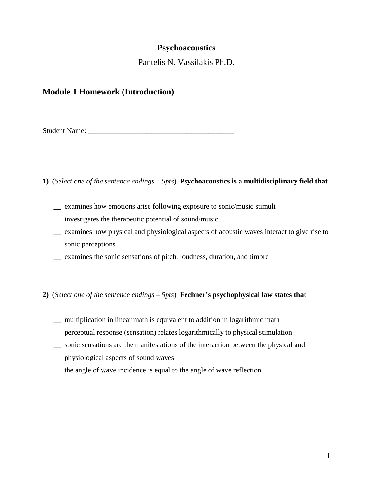## **Psychoacoustics**

Pantelis N. Vassilakis Ph.D.

## **Module 1 Homework (Introduction)**

Student Name:

- **1)** (*Select one of the sentence endings – 5pts*) **Psychoacoustics is a multidisciplinary field that** 
	- \_\_ examines how emotions arise following exposure to sonic/music stimuli
	- \_\_ investigates the therapeutic potential of sound/music
	- \_\_ examines how physical and physiological aspects of acoustic waves interact to give rise to sonic perceptions
	- \_\_ examines the sonic sensations of pitch, loudness, duration, and timbre

## **2)** (*Select one of the sentence endings – 5pts*) **Fechner's psychophysical law states that**

- \_\_ multiplication in linear math is equivalent to addition in logarithmic math
- \_\_ perceptual response (sensation) relates logarithmically to physical stimulation
- \_\_ sonic sensations are the manifestations of the interaction between the physical and physiological aspects of sound waves
- \_\_ the angle of wave incidence is equal to the angle of wave reflection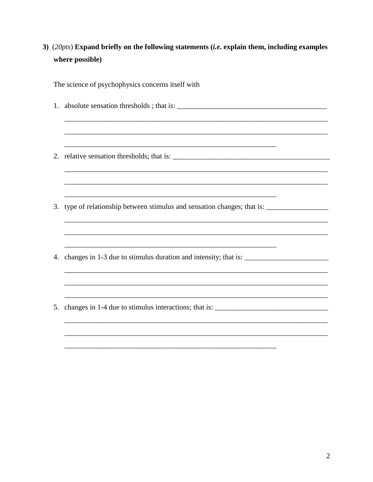3) (20pts) Expand briefly on the following statements (*i.e.* explain them, including examples where possible)

The science of psychophysics concerns itself with

- 
- 
- 3. type of relationship between stimulus and sensation changes; that is: \_\_\_\_\_\_\_\_\_\_\_\_\_\_\_\_\_\_\_\_\_\_\_\_\_\_\_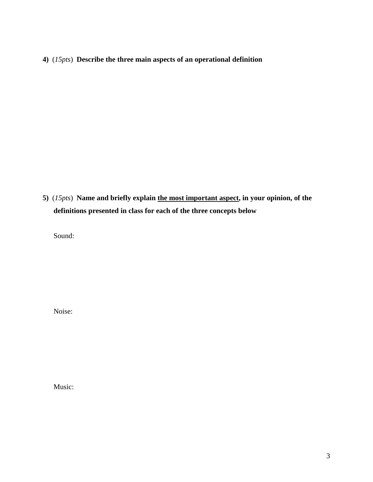**4)** (*15pts*) **Describe the three main aspects of an operational definition**

**5)** (*15pts*) **Name and briefly explain the most important aspect, in your opinion, of the definitions presented in class for each of the three concepts below**

Sound:

Noise:

Music: